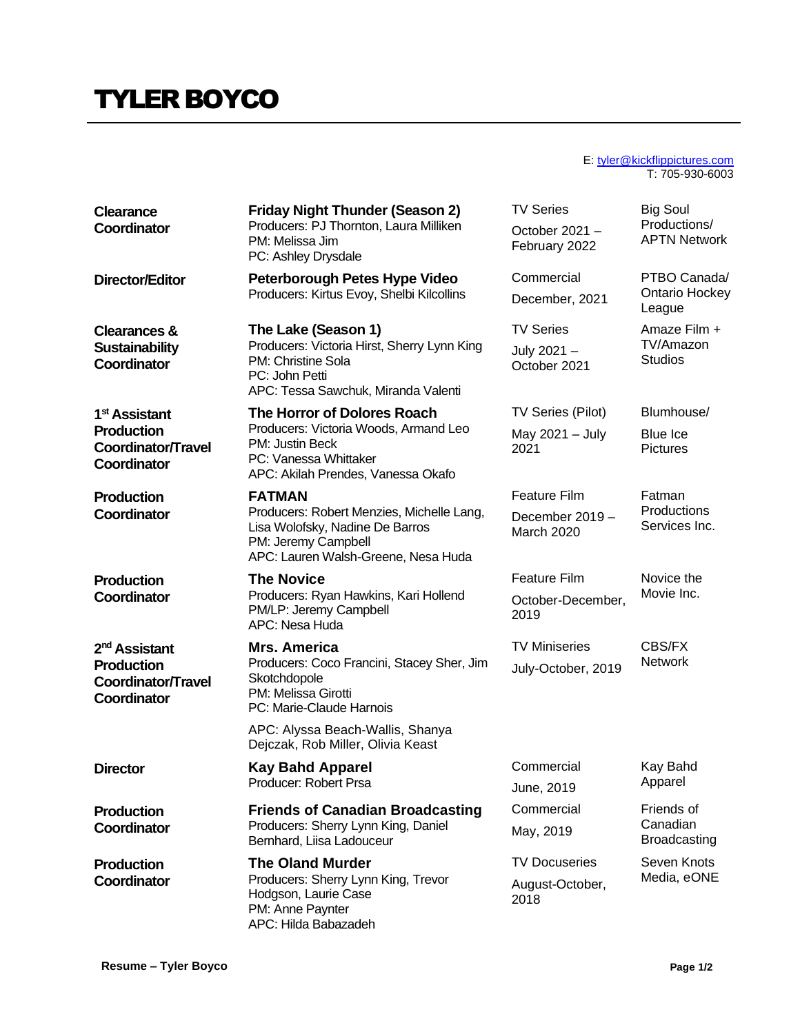## TYLER BOYCO

## E: [tyler@kickflippictures.com](mailto:tyler@kickflippictures.com) T: 705-930-6003

| <b>Clearance</b><br>Coordinator                                                            | <b>Friday Night Thunder (Season 2)</b><br>Producers: PJ Thornton, Laura Milliken<br>PM: Melissa Jim<br>PC: Ashley Drysdale                                  | <b>TV Series</b><br>October 2021 -<br>February 2022         | <b>Big Soul</b><br>Productions/<br><b>APTN Network</b> |
|--------------------------------------------------------------------------------------------|-------------------------------------------------------------------------------------------------------------------------------------------------------------|-------------------------------------------------------------|--------------------------------------------------------|
| <b>Director/Editor</b>                                                                     | Peterborough Petes Hype Video<br>Producers: Kirtus Evoy, Shelbi Kilcollins                                                                                  | Commercial<br>December, 2021                                | PTBO Canada/<br><b>Ontario Hockey</b><br>League        |
| <b>Clearances &amp;</b><br><b>Sustainability</b><br>Coordinator                            | The Lake (Season 1)<br>Producers: Victoria Hirst, Sherry Lynn King<br>PM: Christine Sola<br>PC: John Petti<br>APC: Tessa Sawchuk, Miranda Valenti           | <b>TV Series</b><br>July 2021 -<br>October 2021             | Amaze Film +<br>TV/Amazon<br><b>Studios</b>            |
| 1 <sup>st</sup> Assistant<br><b>Production</b><br>Coordinator/Travel<br>Coordinator        | The Horror of Dolores Roach<br>Producers: Victoria Woods, Armand Leo<br>PM: Justin Beck<br>PC: Vanessa Whittaker<br>APC: Akilah Prendes, Vanessa Okafo      | TV Series (Pilot)<br>May 2021 - July<br>2021                | Blumhouse/<br>Blue Ice<br><b>Pictures</b>              |
| <b>Production</b><br>Coordinator                                                           | <b>FATMAN</b><br>Producers: Robert Menzies, Michelle Lang,<br>Lisa Wolofsky, Nadine De Barros<br>PM: Jeremy Campbell<br>APC: Lauren Walsh-Greene, Nesa Huda | <b>Feature Film</b><br>December 2019 -<br><b>March 2020</b> | Fatman<br>Productions<br>Services Inc.                 |
| <b>Production</b><br>Coordinator                                                           | <b>The Novice</b><br>Producers: Ryan Hawkins, Kari Hollend<br>PM/LP: Jeremy Campbell<br>APC: Nesa Huda                                                      | <b>Feature Film</b><br>October-December,<br>2019            | Novice the<br>Movie Inc.                               |
| 2 <sup>nd</sup> Assistant<br><b>Production</b><br><b>Coordinator/Travel</b><br>Coordinator | <b>Mrs. America</b><br>Producers: Coco Francini, Stacey Sher, Jim<br>Skotchdopole<br>PM: Melissa Girotti<br>PC: Marie-Claude Harnois                        | <b>TV Miniseries</b><br>July-October, 2019                  | CBS/FX<br><b>Network</b>                               |
|                                                                                            | APC: Alyssa Beach-Wallis, Shanya<br>Dejczak, Rob Miller, Olivia Keast                                                                                       |                                                             |                                                        |
| <b>Director</b>                                                                            | <b>Kay Bahd Apparel</b><br>Producer: Robert Prsa                                                                                                            | Commercial<br>June, 2019                                    | Kay Bahd<br>Apparel                                    |
| <b>Production</b><br>Coordinator                                                           | <b>Friends of Canadian Broadcasting</b><br>Producers: Sherry Lynn King, Daniel<br>Bernhard, Liisa Ladouceur                                                 | Commercial                                                  | Friends of<br>Canadian<br><b>Broadcasting</b>          |
|                                                                                            |                                                                                                                                                             | May, 2019                                                   |                                                        |
| <b>Production</b><br>Coordinator                                                           | <b>The Oland Murder</b><br>Producers: Sherry Lynn King, Trevor<br>Hodgson, Laurie Case<br>PM: Anne Paynter<br>APC: Hilda Babazadeh                          | <b>TV Docuseries</b><br>August-October,<br>2018             | Seven Knots<br>Media, eONE                             |